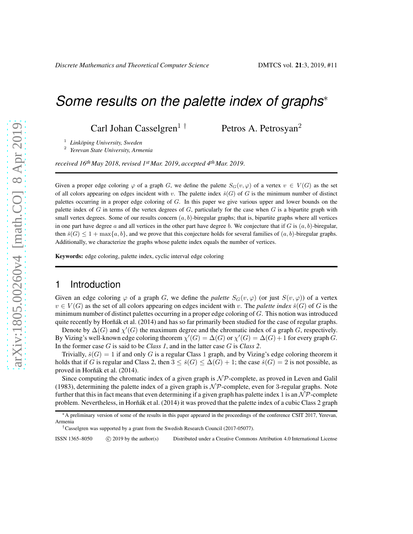Carl Johan Casselgren<sup>1</sup> † Petros A. Petrosyan<sup>2</sup>

<sup>1</sup> Linköping University, Sweden

2 *Yerevan State University, Armenia*

*received 16th May 2018*, *revised 1st Mar. 2019*, *accepted 4th Mar. 2019*.

Given a proper edge coloring  $\varphi$  of a graph G, we define the palette  $S_G(v, \varphi)$  of a vertex  $v \in V(G)$  as the set of all colors appearing on edges incident with v. The palette index  $\check{s}(G)$  of G is the minimum number of distinct palettes occurring in a proper edge coloring of G. In this paper we give various upper and lower bounds on the palette index of G in terms of the vertex degrees of G, particularly for the case when G is a bipartite graph with small vertex degrees. Some of our results concern  $(a, b)$ -biregular graphs; that is, bipartite graphs where all vertices in one part have degree a and all vertices in the other part have degree b. We conjecture that if  $G$  is  $(a, b)$ -biregular, then  $\check{s}(G) \leq 1 + \max\{a, b\}$ , and we prove that this conjecture holds for several families of  $(a, b)$ -biregular graphs. Additionally, we characterize the graphs whose palette index equals the number of vertices.

Keywords: edge coloring, palette index, cyclic interval edge coloring

### 1 Introduction

Given an edge coloring  $\varphi$  of a graph G, we define the *palette*  $S_G(v, \varphi)$  (or just  $S(v, \varphi)$ ) of a vertex  $v \in V(G)$  as the set of all colors appearing on edges incident with v. The *palette index*  $\check{s}(G)$  of G is the minimum number of distinct palettes occurring in a proper edge coloring of  $G$ . This notion was introduced quite recently by Horňák et al. (2014) and has so far primarily been studied for the case of regular graphs.

Denote by  $\Delta(G)$  and  $\chi'(G)$  the maximum degree and the chromatic index of a graph G, respectively. By Vizing's well-known edge coloring theorem  $\chi'(G) = \Delta(G)$  or  $\chi'(G) = \Delta(G) + 1$  for every graph G. In the former case G is said to be *Class 1*, and in the latter case G is *Class 2*.

Trivially,  $\check{s}(G) = 1$  if and only G is a regular Class 1 graph, and by Vizing's edge coloring theorem it holds that if G is regular and Class 2, then  $3 \leq \check{s}(G) \leq \Delta(G) + 1$ ; the case  $\check{s}(G) = 2$  is not possible, as proved in Horňák et al. (2014).

Since computing the chromatic index of a given graph is  $N\mathcal{P}$ -complete, as proved in Leven and Galil (1983), determining the palette index of a given graph is  $N\mathcal{P}$ -complete, even for 3-regular graphs. Note further that this in fact means that even determining if a given graph has palette index 1 is an  $N\mathcal{P}$ -complete problem. Nevertheless, in Horňák et al. (2014) it was proved that the palette index of a cubic Class 2 graph

ISSN 1365-8050 C 2019 by the author(s) Distributed under a Creative Commons Attribution 4.0 International License

<sup>∗</sup>A preliminary version of some of the results in this paper appeared in the proceedings of the conference CSIT 2017, Yerevan, Armenia

<sup>†</sup>Casselgren was supported by a grant from the Swedish Research Council (2017-05077).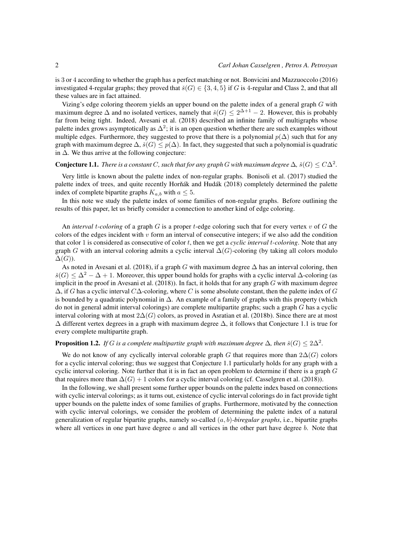is 3 or 4 according to whether the graph has a perfect matching or not. Bonvicini and Mazzuoccolo (2016) investigated 4-regular graphs; they proved that  $\check{s}(G) \in \{3,4,5\}$  if G is 4-regular and Class 2, and that all these values are in fact attained.

Vizing's edge coloring theorem yields an upper bound on the palette index of a general graph  $G$  with maximum degree  $\Delta$  and no isolated vertices, namely that  $\check{s}(G) \leq 2^{\Delta+1} - 2$ . However, this is probably far from being tight. Indeed, Avesani et al. (2018) described an infinite family of multigraphs whose palette index grows asymptotically as  $\Delta^2$ ; it is an open question whether there are such examples without multiple edges. Furthermore, they suggested to prove that there is a polynomial  $p(\Delta)$  such that for any graph with maximum degree  $\Delta$ ,  $\check{s}(G) \leq p(\Delta)$ . In fact, they suggested that such a polynomial is quadratic in  $\Delta$ . We thus arrive at the following conjecture:

#### **Conjecture 1.1.** *There is a constant* C, such that for any graph G with maximum degree  $\Delta$ ,  $\check{s}(G) \leq C\Delta^2$ .

Very little is known about the palette index of non-regular graphs. Bonisoli et al. (2017) studied the palette index of trees, and quite recently Horňák and Hudák (2018) completely determined the palette index of complete bipartite graphs  $K_{a,b}$  with  $a \leq 5$ .

In this note we study the palette index of some families of non-regular graphs. Before outlining the results of this paper, let us briefly consider a connection to another kind of edge coloring.

An *interval t-coloring* of a graph  $G$  is a proper t-edge coloring such that for every vertex  $v$  of  $G$  the colors of the edges incident with  $v$  form an interval of consecutive integers; if we also add the condition that color 1 is considered as consecutive of color t, then we get a *cyclic interval* t*-coloring*. Note that any graph G with an interval coloring admits a cyclic interval  $\Delta(G)$ -coloring (by taking all colors modulo  $\Delta(G)$ ).

As noted in Avesani et al. (2018), if a graph G with maximum degree  $\Delta$  has an interval coloring, then  $\check{s}(G) \leq \Delta^2 - \Delta + 1$ . Moreover, this upper bound holds for graphs with a cyclic interval  $\Delta$ -coloring (as implicit in the proof in Avesani et al. (2018)). In fact, it holds that for any graph  $G$  with maximum degree  $\Delta$ , if G has a cyclic interval C $\Delta$ -coloring, where C is some absolute constant, then the palette index of G is bounded by a quadratic polynomial in  $\Delta$ . An example of a family of graphs with this property (which do not in general admit interval colorings) are complete multipartite graphs; such a graph  $G$  has a cyclic interval coloring with at most  $2\Delta(G)$  colors, as proved in Asratian et al. (2018b). Since there are at most  $\Delta$  different vertex degrees in a graph with maximum degree  $\Delta$ , it follows that Conjecture 1.1 is true for every complete multipartite graph.

#### **Proposition 1.2.** If G is a complete multipartite graph with maximum degree  $\Delta$ , then  $\check{s}(G) \leq 2\Delta^2$ .

We do not know of any cyclically interval colorable graph G that requires more than  $2\Delta(G)$  colors for a cyclic interval coloring; thus we suggest that Conjecture 1.1 particularly holds for any graph with a cyclic interval coloring. Note further that it is in fact an open problem to determine if there is a graph  $G$ that requires more than  $\Delta(G) + 1$  colors for a cyclic interval coloring (cf. Casselgren et al. (2018)).

In the following, we shall present some further upper bounds on the palette index based on connections with cyclic interval colorings; as it turns out, existence of cyclic interval colorings do in fact provide tight upper bounds on the palette index of some families of graphs. Furthermore, motivated by the connection with cyclic interval colorings, we consider the problem of determining the palette index of a natural generalization of regular bipartite graphs, namely so-called (a, b)*-biregular graphs*, i.e., bipartite graphs where all vertices in one part have degree  $a$  and all vertices in the other part have degree  $b$ . Note that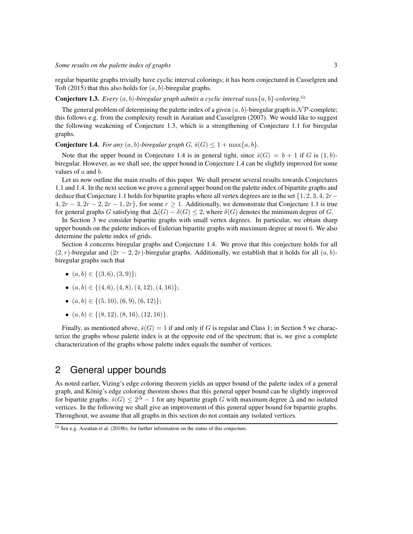regular bipartite graphs trivially have cyclic interval colorings; it has been conjectured in Casselgren and Toft (2015) that this also holds for  $(a, b)$ -biregular graphs.

#### Conjecture 1.3. *Every* (a, b)*-biregular graph admits a cyclic interval* max{a, b}*-coloring.*(i)

The general problem of determining the palette index of a given  $(a, b)$ -biregular graph is  $\mathcal{NP}$ -complete; this follows e.g. from the complexity result in Asratian and Casselgren (2007). We would like to suggest the following weakening of Conjecture 1.3, which is a strengthening of Conjecture 1.1 for biregular graphs.

**Conjecture 1.4.** *For any*  $(a, b)$ *-biregular graph*  $G$ *,*  $\check{s}(G) \leq 1 + \max\{a, b\}$ *.* 

Note that the upper bound in Conjecture 1.4 is in general tight, since  $\check{s}(G) = b + 1$  if G is  $(1, b)$ biregular. However, as we shall see, the upper bound in Conjecture 1.4 can be slightly improved for some values of a and b.

Let us now outline the main results of this paper. We shall present several results towards Conjectures 1.1 and 1.4. In the next section we prove a general upper bound on the palette index of bipartite graphs and deduce that Conjecture 1.1 holds for bipartite graphs where all vertex degrees are in the set  $\{1, 2, 3, 4, 2r 4, 2r-3, 2r-2, 2r-1, 2r$ , for some  $r \ge 1$ . Additionally, we demonstrate that Conjecture 1.1 is true for general graphs G satisfying that  $\Delta(G) - \delta(G) \leq 2$ , where  $\delta(G)$  denotes the minimum degree of G.

In Section 3 we consider bipartite graphs with small vertex degrees. In particular, we obtain sharp upper bounds on the palette indices of Eulerian bipartite graphs with maximum degree at most 6. We also determine the palette index of grids.

Section 4 concerns biregular graphs and Conjecture 1.4. We prove that this conjecture holds for all  $(2, r)$ -biregular and  $(2r - 2, 2r)$ -biregular graphs. Additionally, we establish that it holds for all  $(a, b)$ biregular graphs such that

- $(a, b) \in \{(3, 6), (3, 9)\};$
- $(a, b) \in \{(4, 6), (4, 8), (4, 12), (4, 16)\};$
- $(a, b) \in \{(5, 10), (6, 9), (6, 12)\};$
- $(a, b) \in \{(8, 12), (8, 16), (12, 16)\}.$

Finally, as mentioned above,  $\check{s}(G) = 1$  if and only if G is regular and Class 1; in Section 5 we characterize the graphs whose palette index is at the opposite end of the spectrum; that is, we give a complete characterization of the graphs whose palette index equals the number of vertices.

# 2 General upper bounds

As noted earlier, Vizing's edge coloring theorem yields an upper bound of the palette index of a general graph, and König's edge coloring theorem shows that this general upper bound can be slightly improved for bipartite graphs:  $\check{s}(G) \leq 2^{\Delta} - 1$  for any bipartite graph G with maximum degree  $\Delta$  and no isolated vertices. In the following we shall give an improvement of this general upper bound for bipartite graphs. Throughout, we assume that all graphs in this section do not contain any isolated vertices.

 $\overline{^{(i)}}$  See e.g. Asratian et al. (2018b), for further information on the status of this conjecture.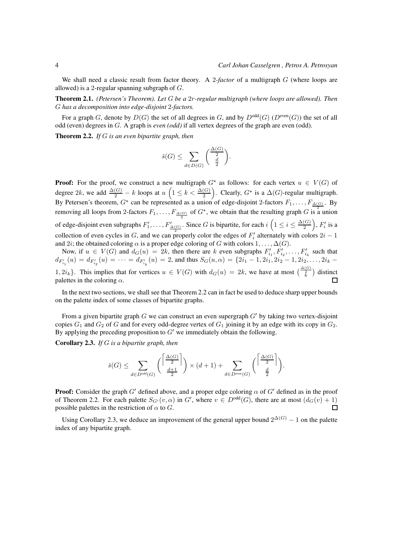We shall need a classic result from factor theory. A 2*-factor* of a multigraph G (where loops are allowed) is a 2-regular spanning subgraph of  $G$ .

Theorem 2.1. *(Petersen's Theorem). Let* G *be a* 2r*-regular multigraph (where loops are allowed). Then* G *has a decomposition into edge-disjoint* 2*-factors.*

For a graph G, denote by  $D(G)$  the set of all degrees in G, and by  $D^{odd}(G)$  ( $D^{even}(G)$ ) the set of all odd (even) degrees in G. A graph is *even (odd)* if all vertex degrees of the graph are even (odd).

Theorem 2.2. *If* G *is an even bipartite graph, then*

$$
\check{s}(G) \le \sum_{d \in D(G)} \left( \frac{\frac{\Delta(G)}{2}}{\frac{d}{2}} \right).
$$

**Proof:** For the proof, we construct a new multigraph  $G^*$  as follows: for each vertex  $u \in V(G)$  of degree 2k, we add  $\frac{\Delta(G)}{2} - k$  loops at  $u\left(1 \leq k < \frac{\Delta(G)}{2}\right)$ . Clearly,  $G^*$  is a  $\Delta(G)$ -regular multigraph. By Petersen's theorem,  $G^*$  can be represented as a union of edge-disjoint 2-factors  $F_1, \ldots, F_{\Delta(G)}$ . By removing all loops from 2-factors  $F_1, \ldots, F_{\frac{\Delta(G)}{2}}$  of  $G^*$ , we obtain that the resulting graph G is a union of edge-disjoint even subgraphs  $F'_1, \ldots, F'_{\frac{\Delta(G)}{2}}$ . Since G is bipartite, for each  $i\left(1 \leq i \leq \frac{\Delta(G)}{2}\right)$  $\left(\frac{G}{2}\right), F'_i$  is a collection of even cycles in G, and we can properly color the edges of  $F_i'$  alternately with colors  $2i - 1$ and 2*i*; the obtained coloring  $\alpha$  is a proper edge coloring of G with colors  $1, \ldots, \Delta(G)$ .

Now, if  $u \in V(G)$  and  $d_G(u) = 2k$ , then there are k even subgraphs  $F'_{i_1}, F'_{i_2}, \ldots, F'_{i_k}$  such that  $d_{F'_{i_1}}(u) = d_{F'_{i_2}}(u) = \cdots = d_{F'_{i_k}}(u) = 2$ , and thus  $S_G(u, \alpha) = \{2i_1 - 1, 2i_1, 2i_2 - 1, 2i_2, \ldots, 2i_k - 1\}$ 1,  $2i_k$ . This implies that for vertices  $u \in V(G)$  with  $d_G(u) = 2k$ , we have at most  $\left(\frac{\Delta(G)}{k}\right)$  distinct palettes in the coloring  $\alpha$ . П

In the next two sections, we shall see that Theorem 2.2 can in fact be used to deduce sharp upper bounds on the palette index of some classes of bipartite graphs.

From a given bipartite graph G we can construct an even supergraph  $G'$  by taking two vertex-disjoint copies  $G_1$  and  $G_2$  of G and for every odd-degree vertex of  $G_1$  joining it by an edge with its copy in  $G_2$ . By applying the preceding proposition to  $G'$  we immediately obtain the following.

Corollary 2.3. *If* G *is a bipartite graph, then*

$$
\check{s}(G) \leq \sum_{d \in D^{odd}(G)} \binom{\left\lceil \frac{\Delta(G)}{2} \right\rceil}{\frac{d+1}{2}} \times (d+1) + \sum_{d \in D^{even}(G)} \binom{\left\lceil \frac{\Delta(G)}{2} \right\rceil}{\frac{d}{2}}.
$$

**Proof:** Consider the graph G' defined above, and a proper edge coloring  $\alpha$  of G' defined as in the proof of Theorem 2.2. For each palette  $S_{G'}(v, \alpha)$  in G', where  $v \in D^{\text{odd}}(G)$ , there are at most  $(d_G(v) + 1)$ possible palettes in the restriction of  $\alpha$  to  $G$ .

Using Corollary 2.3, we deduce an improvement of the general upper bound  $2^{\Delta(G)} - 1$  on the palette index of any bipartite graph.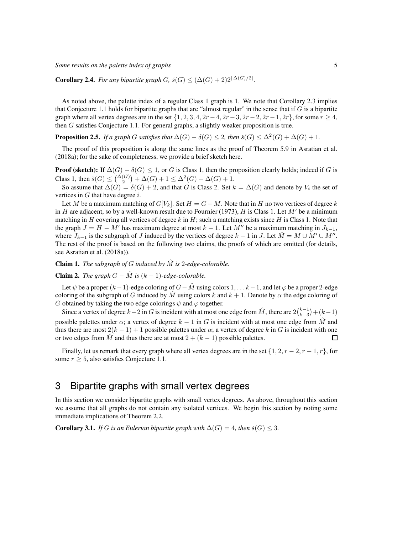**Corollary 2.4.** *For any bipartite graph G*,  $\check{s}(G) \leq (\Delta(G) + 2)2^{\lceil \Delta(G)/2 \rceil}$ *.* 

As noted above, the palette index of a regular Class 1 graph is 1. We note that Corollary 2.3 implies that Conjecture 1.1 holds for bipartite graphs that are "almost regular" in the sense that if  $G$  is a bipartite graph where all vertex degrees are in the set  $\{1, 2, 3, 4, 2r-4, 2r-3, 2r-2, 2r-1, 2r\}$ , for some  $r \geq 4$ , then G satisfies Conjecture 1.1. For general graphs, a slightly weaker proposition is true.

**Proposition 2.5.** *If a graph* G *satisfies that*  $\Delta(G) - \delta(G) \leq 2$ , then  $\check{s}(G) \leq \Delta^2(G) + \Delta(G) + 1$ .

The proof of this proposition is along the same lines as the proof of Theorem 5.9 in Asratian et al. (2018a); for the sake of completeness, we provide a brief sketch here.

**Proof (sketch):** If  $\Delta(G) - \delta(G) \leq 1$ , or G is Class 1, then the proposition clearly holds; indeed if G is Class 1, then  $\check{s}(G) \leq {\Delta(G) \choose 2} + \Delta(G) + 1 \leq \Delta^2(G) + \Delta(G) + 1$ .

So assume that  $\Delta(G) = \delta(G) + 2$ , and that G is Class 2. Set  $k = \Delta(G)$  and denote by  $V_i$  the set of vertices in  $G$  that have degree  $i$ .

Let M be a maximum matching of  $G[V_k]$ . Set  $H = G - M$ . Note that in H no two vertices of degree k in H are adjacent, so by a well-known result due to Fournier (1973), H is Class 1. Let  $M'$  be a minimum matching in H covering all vertices of degree k in H; such a matching exists since H is Class 1. Note that the graph  $J = H - M'$  has maximum degree at most  $k - 1$ . Let  $M''$  be a maximum matching in  $J_{k-1}$ , where  $J_{k-1}$  is the subgraph of J induced by the vertices of degree  $k-1$  in J. Let  $\hat{M} = M \cup \hat{M}' \cup M''$ . The rest of the proof is based on the following two claims, the proofs of which are omitted (for details, see Asratian et al. (2018a)).

**Claim 1.** *The subgraph of G induced by*  $\hat{M}$  *is* 2-edge-colorable.

**Claim 2.** *The graph*  $G - \hat{M}$  *is*  $(k - 1)$ *-edge-colorable.* 

Let  $\psi$  be a proper  $(k-1)$ -edge coloring of  $G-\hat{M}$  using colors  $1, \dots k-1$ , and let  $\varphi$  be a proper 2-edge coloring of the subgraph of G induced by M using colors k and  $k + 1$ . Denote by  $\alpha$  the edge coloring of G obtained by taking the two edge colorings  $\psi$  and  $\varphi$  together.

Since a vertex of degree  $k-2$  in G is incident with at most one edge from  $\hat{M}$ , there are  $2\binom{k-1}{k-3} + (k-1)$ possible palettes under  $\alpha$ ; a vertex of degree  $k - 1$  in G is incident with at most one edge from  $\hat{M}$  and thus there are most  $2(k - 1) + 1$  possible palettes under  $\alpha$ ; a vertex of degree k in G is incident with one or two edges from  $\hat{M}$  and thus there are at most  $2 + (k - 1)$  possible palettes.  $\Box$ 

Finally, let us remark that every graph where all vertex degrees are in the set  $\{1, 2, r - 2, r - 1, r\}$ , for some  $r \geq 5$ , also satisfies Conjecture 1.1.

## 3 Bipartite graphs with small vertex degrees

In this section we consider bipartite graphs with small vertex degrees. As above, throughout this section we assume that all graphs do not contain any isolated vertices. We begin this section by noting some immediate implications of Theorem 2.2.

**Corollary 3.1.** *If* G *is an Eulerian bipartite graph with*  $\Delta(G) = 4$ *, then*  $\check{s}(G) \leq 3$ *.*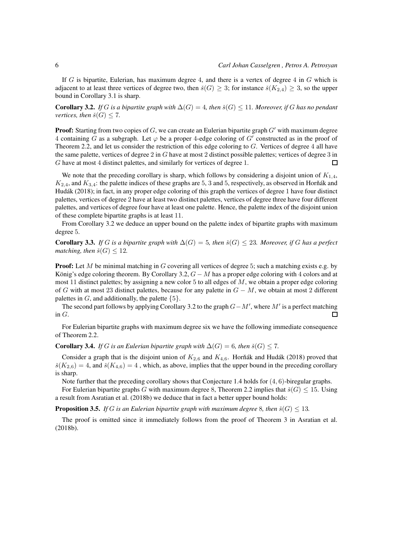If G is bipartite, Eulerian, has maximum degree 4, and there is a vertex of degree 4 in G which is adjacent to at least three vertices of degree two, then  $\check{s}(G) \geq 3$ ; for instance  $\check{s}(K_{2,4}) \geq 3$ , so the upper bound in Corollary 3.1 is sharp.

**Corollary 3.2.** *If* G is a bipartite graph with  $\Delta(G) = 4$ , then  $\check{s}(G) \leq 11$ . Moreover, if G has no pendant *vertices, then*  $\check{s}(G) \leq 7$ *.* 

**Proof:** Starting from two copies of  $G$ , we can create an Eulerian bipartite graph  $G'$  with maximum degree 4 containing G as a subgraph. Let  $\varphi$  be a proper 4-edge coloring of G' constructed as in the proof of Theorem 2.2, and let us consider the restriction of this edge coloring to  $G$ . Vertices of degree 4 all have the same palette, vertices of degree 2 in G have at most 2 distinct possible palettes; vertices of degree 3 in G have at most 4 distinct palettes, and similarly for vertices of degree 1.  $\Box$ 

We note that the preceding corollary is sharp, which follows by considering a disjoint union of  $K_{1,4}$ ,  $K_{2,4}$ , and  $K_{3,4}$ : the palette indices of these graphs are 5, 3 and 5, respectively, as observed in Horňák and Hudák (2018); in fact, in any proper edge coloring of this graph the vertices of degree 1 have four distinct palettes, vertices of degree 2 have at least two distinct palettes, vertices of degree three have four different palettes, and vertices of degree four have at least one palette. Hence, the palette index of the disjoint union of these complete bipartite graphs is at least 11.

From Corollary 3.2 we deduce an upper bound on the palette index of bipartite graphs with maximum degree 5.

**Corollary 3.3.** *If* G is a bipartite graph with  $\Delta(G) = 5$ , then  $\check{s}(G) \leq 23$ . Moreover, if G has a perfect *matching, then*  $\check{s}(G) < 12$ *.* 

**Proof:** Let  $M$  be minimal matching in  $G$  covering all vertices of degree 5; such a matching exists e.g. by König's edge coloring theorem. By Corollary 3.2,  $G - M$  has a proper edge coloring with 4 colors and at most 11 distinct palettes; by assigning a new color 5 to all edges of  $M$ , we obtain a proper edge coloring of G with at most 23 distinct palettes, because for any palette in  $G - M$ , we obtain at most 2 different palettes in  $G$ , and additionally, the palette  $\{5\}$ .

The second part follows by applying Corollary 3.2 to the graph  $G-M'$ , where  $M'$  is a perfect matching in  $G$ . 口

For Eulerian bipartite graphs with maximum degree six we have the following immediate consequence of Theorem 2.2.

**Corollary 3.4.** *If* G *is an Eulerian bipartite graph with*  $\Delta(G) = 6$ *, then*  $\check{s}(G) \leq 7$ *.* 

Consider a graph that is the disjoint union of  $K_{2,6}$  and  $K_{4,6}$ . Horňák and Hudák (2018) proved that  $\check{s}(K_{2,6}) = 4$ , and  $\check{s}(K_{4,6}) = 4$ , which, as above, implies that the upper bound in the preceding corollary is sharp.

Note further that the preceding corollary shows that Conjecture 1.4 holds for (4, 6)-biregular graphs.

For Eulerian bipartite graphs G with maximum degree 8, Theorem 2.2 implies that  $\check{s}(G) \leq 15$ . Using a result from Asratian et al. (2018b) we deduce that in fact a better upper bound holds:

**Proposition 3.5.** If G is an Eulerian bipartite graph with maximum degree 8, then  $\breve{s}(G) \leq 13$ .

The proof is omitted since it immediately follows from the proof of Theorem 3 in Asratian et al. (2018b).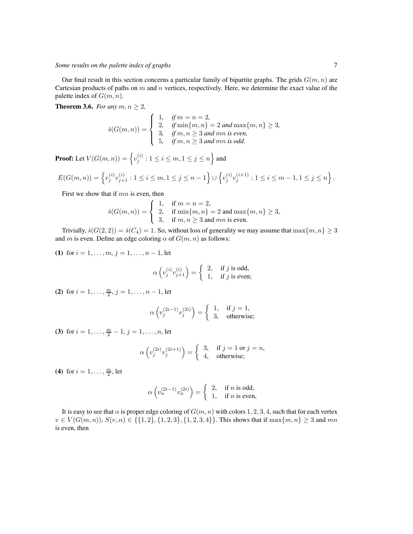Our final result in this section concerns a particular family of bipartite graphs. The grids  $G(m, n)$  are Cartesian products of paths on  $m$  and  $n$  vertices, respectively. Here, we determine the exact value of the palette index of  $G(m, n)$ .

**Theorem 3.6.** *For any*  $m, n \geq 2$ *,* 

$$
\check{s}(G(m, n)) = \begin{cases}\n1, & \text{if } m = n = 2, \\
2, & \text{if } \min\{m, n\} = 2 \text{ and } \max\{m, n\} \ge 3, \\
3, & \text{if } m, n \ge 3 \text{ and } mn \text{ is even,} \\
5, & \text{if } m, n \ge 3 \text{ and } mn \text{ is odd.}\n\end{cases}
$$

**Proof:** Let  $V(G(m, n)) = \left\{v_j^{(i)} : 1 \le i \le m, 1 \le j \le n\right\}$  and

$$
E(G(m, n)) = \left\{v_j^{(i)}v_{j+1}^{(i)} : 1 \le i \le m, 1 \le j \le n-1\right\} \cup \left\{v_j^{(i)}v_j^{(i+1)} : 1 \le i \le m-1, 1 \le j \le n\right\}.
$$

First we show that if  $mn$  is even, then

$$
\check{s}(G(m,n)) = \begin{cases}\n1, & \text{if } m = n = 2, \\
2, & \text{if } \min\{m, n\} = 2 \text{ and } \max\{m, n\} \ge 3, \\
3, & \text{if } m, n \ge 3 \text{ and } mn \text{ is even.} \n\end{cases}
$$

Trivially,  $\check{s}(G(2, 2)) = \check{s}(C_4) = 1$ . So, without loss of generality we may assume that  $\max\{m, n\} \geq 3$ and m is even. Define an edge coloring  $\alpha$  of  $G(m, n)$  as follows:

(1) for  $i = 1, \ldots, m, j = 1, \ldots, n - 1$ , let

$$
\alpha \left( v_j^{(i)} v_{j+1}^{(i)} \right) = \begin{cases} 2, & \text{if } j \text{ is odd,} \\ 1, & \text{if } j \text{ is even;} \end{cases}
$$

(2) for  $i = 1, \ldots, \frac{m}{2}, j = 1, \ldots, n - 1$ , let

$$
\alpha \left( v_j^{(2i-1)} v_j^{(2i)} \right) = \begin{cases} 1, & \text{if } j = 1, \\ 3, & \text{otherwise}; \end{cases}
$$

(3) for  $i = 1, ..., \frac{m}{2} - 1, j = 1, ..., n$ , let

$$
\alpha \left( v_j^{(2i)} v_j^{(2i+1)} \right) = \begin{cases} 3, & \text{if } j = 1 \text{ or } j = n, \\ 4, & \text{otherwise}; \end{cases}
$$

(4) for  $i = 1, ..., \frac{m}{2}$ , let

$$
\alpha \left( v_n^{(2i-1)} v_n^{(2i)} \right) = \begin{cases} 2, & \text{if } n \text{ is odd,} \\ 1, & \text{if } n \text{ is even,} \end{cases}
$$

It is easy to see that  $\alpha$  is proper edge coloring of  $G(m, n)$  with colors 1, 2, 3, 4, such that for each vertex  $v \in V(G(m, n)), S(v, \alpha) \in \{\{1, 2\}, \{1, 2, 3\}, \{1, 2, 3, 4\}\}.$  This shows that if  $\max\{m, n\} \geq 3$  and  $mn$ is even, then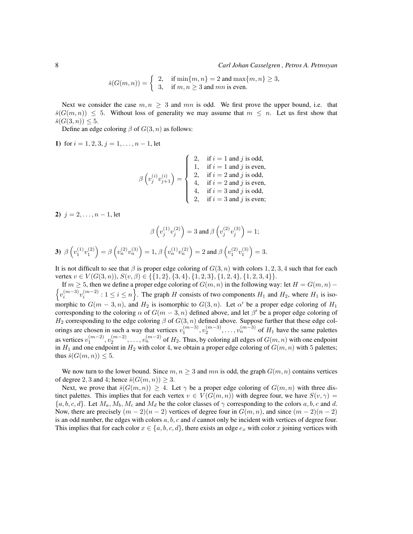$$
\check{s}(G(m,n)) = \begin{cases} 2, & \text{if } \min\{m,n\} = 2 \text{ and } \max\{m,n\} \ge 3, \\ 3, & \text{if } m,n \ge 3 \text{ and } mn \text{ is even.} \end{cases}
$$

Next we consider the case  $m, n \geq 3$  and mn is odd. We first prove the upper bound, i.e. that  $\check{s}(G(m,n)) \leq 5$ . Without loss of generality we may assume that  $m \leq n$ . Let us first show that  $\check{s}(G(3,n)) \leq 5.$ 

Define an edge coloring  $\beta$  of  $G(3, n)$  as follows:

1) for  $i = 1, 2, 3, j = 1, \ldots, n - 1$ , let

$$
\beta\left(v_j^{(i)}v_{j+1}^{(i)}\right) = \left\{\begin{array}{ll} 2, & \text{if } i = 1 \text{ and } j \text{ is odd,} \\ 1, & \text{if } i = 1 \text{ and } j \text{ is even,} \\ 2, & \text{if } i = 2 \text{ and } j \text{ is odd,} \\ 4, & \text{if } i = 2 \text{ and } j \text{ is even,} \\ 4, & \text{if } i = 3 \text{ and } j \text{ is odd,} \\ 2, & \text{if } i = 3 \text{ and } j \text{ is even;} \end{array}\right.
$$

2)  $j = 2, \ldots, n - 1$ , let

$$
\beta\left(v_j^{(1)}v_j^{(2)}\right) = 3 \text{ and } \beta\left(v_j^{(2)}v_j^{(3)}\right) = 1;
$$

3) 
$$
\beta \left(v_1^{(1)} v_1^{(2)}\right) = \beta \left(v_n^{(2)} v_n^{(3)}\right) = 1, \beta \left(v_n^{(1)} v_n^{(2)}\right) = 2 \text{ and } \beta \left(v_1^{(2)} v_1^{(3)}\right) = 3.
$$

It is not difficult to see that  $\beta$  is proper edge coloring of  $G(3, n)$  with colors 1, 2, 3, 4 such that for each vertex  $v \in V(G(3, n)), S(v, \beta) \in \{\{1, 2\}, \{3, 4\}, \{1, 2, 3\}, \{1, 2, 4\}, \{1, 2, 3, 4\}\}.$ 

 $\left\{v_i^{(m-3)}v_i^{(m-2)}: 1 \leq i \leq n\right\}$ . The graph H consists of two components  $H_1$  and  $H_2$ , where  $H_1$  is iso-If  $m \geq 5$ , then we define a proper edge coloring of  $G(m, n)$  in the following way: let  $H = G(m, n)$  – morphic to  $G(m-3,n)$ , and  $H_2$  is isomorphic to  $G(3,n)$ . Let  $\alpha'$  be a proper edge coloring of  $H_1$ corresponding to the coloring  $\alpha$  of  $G(m-3, n)$  defined above, and let  $\beta'$  be a proper edge coloring of  $H_2$  corresponding to the edge coloring  $\beta$  of  $G(3, n)$  defined above. Suppose further that these edge colorings are chosen in such a way that vertices  $v_1^{(m-3)}$ ,  $v_2^{(m-3)}$ , ...,  $v_n^{(m-3)}$  of  $H_1$  have the same palettes as vertices  $v_1^{(m-2)}$ ,  $v_2^{(m-2)}$ , ...,  $v_n^{(m-2)}$  of  $H_2$ . Thus, by coloring all edges of  $G(m, n)$  with one endpoint in  $H_1$  and one endpoint in  $H_2$  with color 4, we obtain a proper edge coloring of  $G(m, n)$  with 5 palettes; thus  $\check{s}(G(m, n)) \leq 5$ .

We now turn to the lower bound. Since  $m, n \geq 3$  and  $mn$  is odd, the graph  $G(m, n)$  contains vertices of degree 2, 3 and 4; hence  $\check{s}(G(m, n)) \geq 3$ .

Next, we prove that  $\check{s}(G(m, n)) \geq 4$ . Let  $\gamma$  be a proper edge coloring of  $G(m, n)$  with three distinct palettes. This implies that for each vertex  $v \in V(G(m, n))$  with degree four, we have  $S(v, \gamma)$  ${a, b, c, d}$ . Let  $M_a, M_b, M_c$  and  $M_d$  be the color classes of  $\gamma$  corresponding to the colors  $a, b, c$  and  $d$ . Now, there are precisely  $(m-2)(n-2)$  vertices of degree four in  $G(m, n)$ , and since  $(m-2)(n-2)$ is an odd number, the edges with colors  $a, b, c$  and d cannot only be incident with vertices of degree four. This implies that for each color  $x \in \{a, b, c, d\}$ , there exists an edge  $e_x$  with color x joining vertices with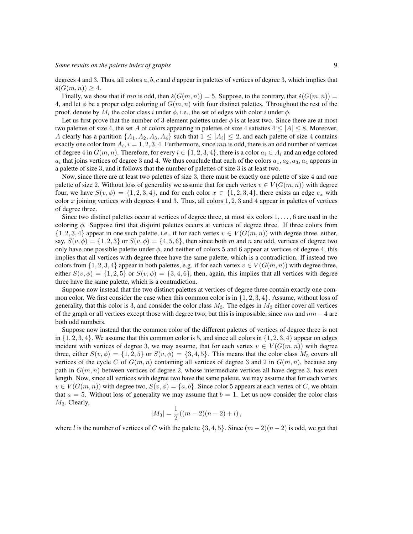degrees 4 and 3. Thus, all colors  $a, b, c$  and d appear in palettes of vertices of degree 3, which implies that  $\check{s}(G(m, n)) \geq 4.$ 

Finally, we show that if mn is odd, then  $\check{s}(G(m, n)) = 5$ . Suppose, to the contrary, that  $\check{s}(G(m, n)) = 5$ 4, and let  $\phi$  be a proper edge coloring of  $G(m, n)$  with four distinct palettes. Throughout the rest of the proof, denote by  $M_i$  the color class  $i$  under  $\phi$ , i.e., the set of edges with color  $i$  under  $\phi$ .

Let us first prove that the number of 3-element palettes under  $\phi$  is at least two. Since there are at most two palettes of size 4, the set A of colors appearing in palettes of size 4 satisfies  $4 \leq |A| \leq 8$ . Moreover, A clearly has a partition  $\{A_1, A_2, A_3, A_4\}$  such that  $1 \leq |A_i| \leq 2$ , and each palette of size 4 contains exactly one color from  $A_i$ ,  $i = 1, 2, 3, 4$ . Furthermore, since  $mn$  is odd, there is an odd number of vertices of degree 4 in  $G(m, n)$ . Therefore, for every  $i \in \{1, 2, 3, 4\}$ , there is a color  $a_i \in A_i$  and an edge colored  $a_i$  that joins vertices of degree 3 and 4. We thus conclude that each of the colors  $a_1, a_2, a_3, a_4$  appears in a palette of size 3, and it follows that the number of palettes of size 3 is at least two.

Now, since there are at least two palettes of size 3, there must be exactly one palette of size 4 and one palette of size 2. Without loss of generality we assume that for each vertex  $v \in V(G(m, n))$  with degree four, we have  $S(v, \phi) = \{1, 2, 3, 4\}$ , and for each color  $x \in \{1, 2, 3, 4\}$ , there exists an edge  $e_x$  with color x joining vertices with degrees 4 and 3. Thus, all colors  $1, 2, 3$  and 4 appear in palettes of vertices of degree three.

Since two distinct palettes occur at vertices of degree three, at most six colors 1, . . . , 6 are used in the coloring  $\phi$ . Suppose first that disjoint palettes occurs at vertices of degree three. If three colors from  $\{1, 2, 3, 4\}$  appear in one such palette, i.e., if for each vertex  $v \in V(G(m, n))$  with degree three, either, say,  $S(v, \phi) = \{1, 2, 3\}$  or  $S(v, \phi) = \{4, 5, 6\}$ , then since both m and n are odd, vertices of degree two only have one possible palette under  $\phi$ , and neither of colors 5 and 6 appear at vertices of degree 4, this implies that all vertices with degree three have the same palette, which is a contradiction. If instead two colors from  $\{1, 2, 3, 4\}$  appear in both palettes, e.g. if for each vertex  $v \in V(G(m, n))$  with degree three, either  $S(v, \phi) = \{1, 2, 5\}$  or  $S(v, \phi) = \{3, 4, 6\}$ , then, again, this implies that all vertices with degree three have the same palette, which is a contradiction.

Suppose now instead that the two distinct palettes at vertices of degree three contain exactly one common color. We first consider the case when this common color is in  $\{1, 2, 3, 4\}$ . Assume, without loss of generality, that this color is 3, and consider the color class  $M_3$ . The edges in  $M_3$  either cover all vertices of the graph or all vertices except those with degree two; but this is impossible, since  $mn$  and  $mn - 4$  are both odd numbers.

Suppose now instead that the common color of the different palettes of vertices of degree three is not in  $\{1, 2, 3, 4\}$ . We assume that this common color is 5, and since all colors in  $\{1, 2, 3, 4\}$  appear on edges incident with vertices of degree 3, we may assume, that for each vertex  $v \in V(G(m, n))$  with degree three, either  $S(v, \phi) = \{1, 2, 5\}$  or  $S(v, \phi) = \{3, 4, 5\}$ . This means that the color class  $M_5$  covers all vertices of the cycle C of  $G(m, n)$  containing all vertices of degree 3 and 2 in  $G(m, n)$ , because any path in  $G(m, n)$  between vertices of degree 2, whose intermediate vertices all have degree 3, has even length. Now, since all vertices with degree two have the same palette, we may assume that for each vertex  $v \in V(G(m, n))$  with degree two,  $S(v, \phi) = \{a, b\}$ . Since color 5 appears at each vertex of C, we obtain that  $a = 5$ . Without loss of generality we may assume that  $b = 1$ . Let us now consider the color class  $M_3$ . Clearly,

$$
|M_3| = \frac{1}{2} ((m-2)(n-2) + l),
$$

where l is the number of vertices of C with the palette  $\{3, 4, 5\}$ . Since  $(m - 2)(n - 2)$  is odd, we get that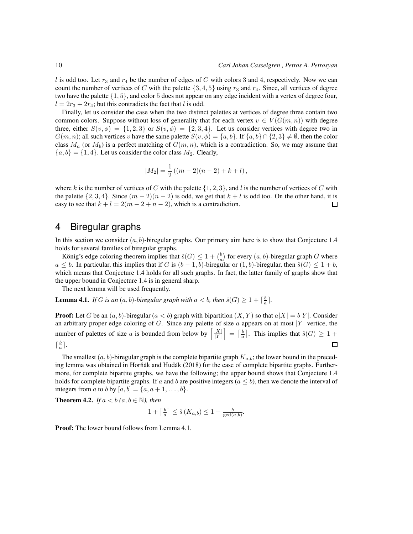l is odd too. Let  $r_3$  and  $r_4$  be the number of edges of C with colors 3 and 4, respectively. Now we can count the number of vertices of C with the palette  $\{3, 4, 5\}$  using  $r_3$  and  $r_4$ . Since, all vertices of degree two have the palette {1, 5}, and color 5 does not appear on any edge incident with a vertex of degree four,  $l = 2r_3 + 2r_4$ ; but this contradicts the fact that l is odd.

Finally, let us consider the case when the two distinct palettes at vertices of degree three contain two common colors. Suppose without loss of generality that for each vertex  $v \in V(G(m, n))$  with degree three, either  $S(v, \phi) = \{1, 2, 3\}$  or  $S(v, \phi) = \{2, 3, 4\}$ . Let us consider vertices with degree two in  $G(m, n)$ ; all such vertices v have the same palette  $S(v, \phi) = \{a, b\}$ . If  $\{a, b\} \cap \{2, 3\} \neq \emptyset$ , then the color class  $M_a$  (or  $M_b$ ) is a perfect matching of  $G(m, n)$ , which is a contradiction. So, we may assume that  ${a, b} = {1, 4}$ . Let us consider the color class  $M_2$ . Clearly,

$$
|M_2| = \frac{1}{2} ((m-2)(n-2) + k + l),
$$

where k is the number of vertices of C with the palette  $\{1, 2, 3\}$ , and l is the number of vertices of C with the palette  $\{2, 3, 4\}$ . Since  $(m - 2)(n - 2)$  is odd, we get that  $k + l$  is odd too. On the other hand, it is easy to see that  $k + l = 2(m - 2 + n - 2)$ , which is a contradiction.  $\Box$ 

### 4 Biregular graphs

In this section we consider  $(a, b)$ -biregular graphs. Our primary aim here is to show that Conjecture 1.4 holds for several families of biregular graphs.

König's edge coloring theorem implies that  $\check{s}(G) \leq 1 + {b \choose a}$  for every  $(a, b)$ -biregular graph G where  $a \leq b$ . In particular, this implies that if G is  $(b-1, b)$ -biregular or  $(1, b)$ -biregular, then  $\check{s}(G) \leq 1 + b$ , which means that Conjecture 1.4 holds for all such graphs. In fact, the latter family of graphs show that the upper bound in Conjecture 1.4 is in general sharp.

The next lemma will be used frequently.

**Lemma 4.1.** *If G is an*  $(a, b)$ *-biregular graph with*  $a < b$ *, then*  $\check{s}(G) \geq 1 + \lceil \frac{b}{a} \rceil$ *.* 

**Proof:** Let G be an  $(a, b)$ -biregular  $(a < b)$  graph with bipartition  $(X, Y)$  so that  $a|X| = b|Y|$ . Consider an arbitrary proper edge coloring of G. Since any palette of size a appears on at most  $|Y|$  vertice, the number of palettes of size a is bounded from below by  $\sqrt{\frac{|X|}{|Y|}}$  $\left|\frac{|X|}{|Y|}\right| = \left|\frac{b}{a}\right|$ . This implies that  $\check{s}(G) \geq 1 +$  $\lceil \frac{b}{a} \rceil$ .  $\Box$ 

The smallest  $(a, b)$ -biregular graph is the complete bipartite graph  $K_{a,b}$ ; the lower bound in the preceding lemma was obtained in Horňák and Hudák (2018) for the case of complete bipartite graphs. Furthermore, for complete bipartite graphs, we have the following; the upper bound shows that Conjecture 1.4 holds for complete bipartite graphs. If a and b are positive integers ( $a \leq b$ ), then we denote the interval of integers from a to b by  $[a, b] = \{a, a+1, \ldots, b\}.$ 

**Theorem 4.2.** *If*  $a < b$  ( $a, b \in \mathbb{N}$ ), then

$$
1 + \left\lceil \frac{b}{a} \right\rceil \le \check{s}(K_{a,b}) \le 1 + \frac{b}{\gcd(a,b)}.
$$

**Proof:** The lower bound follows from Lemma 4.1.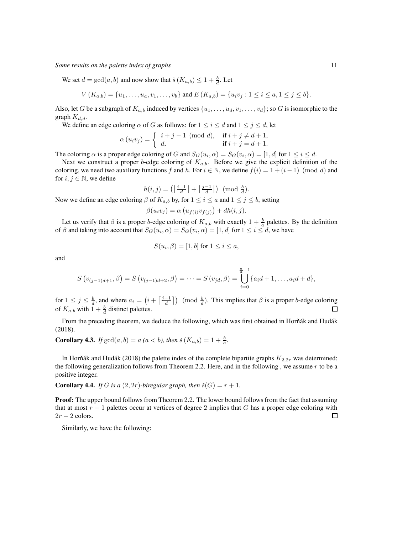We set  $d = \gcd(a, b)$  and now show that  $\check{s}(K_{a,b}) \leq 1 + \frac{b}{d}$ . Let

$$
V(K_{a,b}) = \{u_1, \ldots, u_a, v_1, \ldots, v_b\} \text{ and } E(K_{a,b}) = \{u_iv_j : 1 \le i \le a, 1 \le j \le b\}.
$$

Also, let G be a subgraph of  $K_{a,b}$  induced by vertices  $\{u_1, \ldots, u_d, v_1, \ldots, v_d\}$ ; so G is isomorphic to the graph  $K_{d,d}$ .

We define an edge coloring  $\alpha$  of G as follows: for  $1 \le i \le d$  and  $1 \le j \le d$ , let

$$
\alpha(u_i v_j) = \begin{cases} i+j-1 \pmod{d}, & \text{if } i+j \neq d+1, \\ d, & \text{if } i+j = d+1. \end{cases}
$$

The coloring  $\alpha$  is a proper edge coloring of G and  $S_G(u_i, \alpha) = S_G(v_i, \alpha) = [1, d]$  for  $1 \le i \le d$ .

Next we construct a proper b-edge coloring of  $K_{a,b}$ . Before we give the explicit definition of the coloring, we need two auxiliary functions f and h. For  $i \in \mathbb{N}$ , we define  $f(i) = 1 + (i - 1) \pmod{d}$  and for  $i, j \in \mathbb{N}$ , we define

$$
h(i,j) = \left(\left\lfloor \frac{i-1}{d} \right\rfloor + \left\lfloor \frac{j-1}{d} \right\rfloor \right) \pmod{\frac{b}{d}}.
$$

Now we define an edge coloring  $\beta$  of  $K_{a,b}$  by, for  $1 \le i \le a$  and  $1 \le j \le b$ , setting

$$
\beta(u_i v_j) = \alpha \left( u_{f(i)} v_{f(j)} \right) + dh(i, j).
$$

Let us verify that  $\beta$  is a proper b-edge coloring of  $K_{a,b}$  with exactly  $1 + \frac{b}{a}$  palettes. By the definition of  $\beta$  and taking into account that  $S_G(u_i,\alpha)=S_G(v_i,\alpha)=[1,d]$  for  $1\leq i\leq d,$  we have

$$
S(u_i, \beta) = [1, b] \text{ for } 1 \le i \le a,
$$

and

$$
S(v_{(j-1)d+1},\beta) = S(v_{(j-1)d+2},\beta) = \cdots = S(v_{jd},\beta) = \bigcup_{i=0}^{\frac{a}{d}-1} \{a_i d + 1,\ldots,a_i d + d\},
$$

for  $1 \le j \le \frac{b}{d}$ , and where  $a_i = (i + \lceil \frac{j-1}{d} \rceil) \pmod{\frac{b}{d}}$ . This implies that  $\beta$  is a proper b-edge coloring of  $K_{a,b}$  with  $1 + \frac{b}{d}$  distinct palettes.  $\Box$ 

From the preceding theorem, we deduce the following, which was first obtained in Horňák and Hudák (2018).

**Corollary 4.3.** *If*  $gcd(a, b) = a$  ( $a < b$ ), then  $\check{s}(K_{a,b}) = 1 + \frac{b}{a}$ .

In Horňák and Hudák (2018) the palette index of the complete bipartite graphs  $K_{2,2r}$  was determined; the following generalization follows from Theorem 2.2. Here, and in the following , we assume r to be a positive integer.

**Corollary 4.4.** *If* G *is a*  $(2, 2r)$ *-biregular graph, then*  $\check{s}(G) = r + 1$ *.* 

**Proof:** The upper bound follows from Theorem 2.2. The lower bound follows from the fact that assuming that at most  $r - 1$  palettes occur at vertices of degree 2 implies that G has a proper edge coloring with  $2r - 2$  colors. 口

Similarly, we have the following: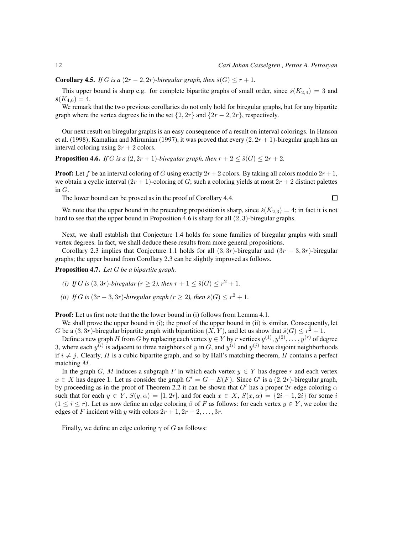$\Box$ 

**Corollary 4.5.** *If* G *is a*  $(2r - 2, 2r)$ *-biregular graph, then*  $\check{s}(G) \leq r + 1$ *.* 

This upper bound is sharp e.g. for complete bipartite graphs of small order, since  $\check{s}(K_{2,4}) = 3$  and  $\check{s}(K_{4,6}) = 4.$ 

We remark that the two previous corollaries do not only hold for biregular graphs, but for any bipartite graph where the vertex degrees lie in the set  $\{2, 2r\}$  and  $\{2r - 2, 2r\}$ , respectively.

Our next result on biregular graphs is an easy consequence of a result on interval colorings. In Hanson et al. (1998); Kamalian and Mirumian (1997), it was proved that every  $(2, 2r + 1)$ -biregular graph has an interval coloring using  $2r + 2$  colors.

**Proposition 4.6.** *If* G is a  $(2, 2r + 1)$ *-biregular graph, then*  $r + 2 \le \check{s}(G) \le 2r + 2$ *.* 

**Proof:** Let f be an interval coloring of G using exactly  $2r + 2$  colors. By taking all colors modulo  $2r + 1$ , we obtain a cyclic interval  $(2r + 1)$ -coloring of G; such a coloring yields at most  $2r + 2$  distinct palettes in G.

The lower bound can be proved as in the proof of Corollary 4.4.

We note that the upper bound in the preceding proposition is sharp, since  $\check{s}(K_{2,3}) = 4$ ; in fact it is not hard to see that the upper bound in Proposition 4.6 is sharp for all  $(2, 3)$ -biregular graphs.

Next, we shall establish that Conjecture 1.4 holds for some families of biregular graphs with small vertex degrees. In fact, we shall deduce these results from more general propositions.

Corollary 2.3 implies that Conjecture 1.1 holds for all  $(3, 3r)$ -biregular and  $(3r - 3, 3r)$ -biregular graphs; the upper bound from Corollary 2.3 can be slightly improved as follows.

Proposition 4.7. *Let* G *be a bipartite graph.*

- *(i) If G is*  $(3, 3r)$ *-biregular*  $(r \ge 2)$ *, then*  $r + 1 \le \check{s}(G) \le r^2 + 1$ *.*
- (*ii*) If G is  $(3r-3, 3r)$ -biregular graph ( $r \ge 2$ ), then  $\check{s}(G) \le r^2 + 1$ .

**Proof:** Let us first note that the the lower bound in (i) follows from Lemma 4.1.

We shall prove the upper bound in (i); the proof of the upper bound in (ii) is similar. Consequently, let G be a  $(3, 3r)$ -biregular bipartite graph with bipartition  $(X, Y)$ , and let us show that  $\check{s}(G) \leq r^2 + 1$ .

Define a new graph  $H$  from  $G$  by replacing each vertex  $y \in Y$  by  $r$  vertices  $y^{(1)}, y^{(2)}, \ldots, y^{(r)}$  of degree 3, where each  $y^{(i)}$  is adjacent to three neighbors of y in G, and  $y^{(i)}$  and  $y^{(j)}$  have disjoint neighborhoods if  $i \neq j$ . Clearly, H is a cubic bipartite graph, and so by Hall's matching theorem, H contains a perfect matching M.

In the graph G, M induces a subgraph F in which each vertex  $y \in Y$  has degree r and each vertex  $x \in X$  has degree 1. Let us consider the graph  $G' = G - E(F)$ . Since G' is a  $(2, 2r)$ -biregular graph, by proceeding as in the proof of Theorem 2.2 it can be shown that G' has a proper  $2r$ -edge coloring  $\alpha$ such that for each  $y \in Y$ ,  $S(y, \alpha) = [1, 2r]$ , and for each  $x \in X$ ,  $S(x, \alpha) = \{2i - 1, 2i\}$  for some i  $(1 \le i \le r)$ . Let us now define an edge coloring  $\beta$  of F as follows: for each vertex  $y \in Y$ , we color the edges of F incident with y with colors  $2r + 1$ ,  $2r + 2$ , ...,  $3r$ .

Finally, we define an edge coloring  $\gamma$  of G as follows: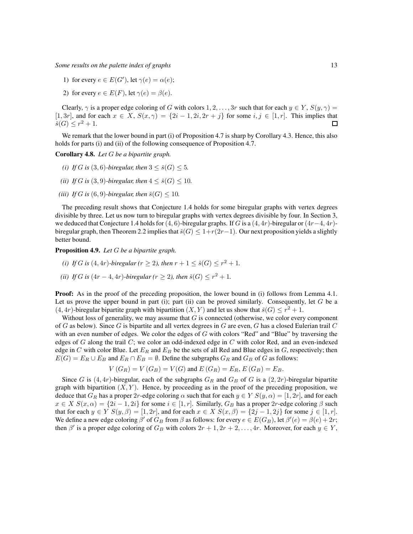- 1) for every  $e \in E(G')$ , let  $\gamma(e) = \alpha(e)$ ;
- 2) for every  $e \in E(F)$ , let  $\gamma(e) = \beta(e)$ .

Clearly,  $\gamma$  is a proper edge coloring of G with colors 1, 2, . . . , 3r such that for each  $y \in Y$ ,  $S(y, \gamma) =$ [1, 3r], and for each  $x \in X$ ,  $S(x, \gamma) = \{2i - 1, 2i, 2r + j\}$  for some  $i, j \in [1, r]$ . This implies that  $\check{s}(G) \leq r^2 + 1.$  $\Box$ 

We remark that the lower bound in part (i) of Proposition 4.7 is sharp by Corollary 4.3. Hence, this also holds for parts (i) and (ii) of the following consequence of Proposition 4.7.

Corollary 4.8. *Let* G *be a bipartite graph.*

- *(i) If G is* (3, 6)*-biregular, then*  $3 \leq \check{s}(G) \leq 5$ *.*
- *(ii)* If G is (3,9)-biregular, then  $4 \leq \check{s}(G) \leq 10$ .
- *(iii)* If G is (6, 9)-biregular, then  $\check{s}(G) < 10$ .

The preceding result shows that Conjecture 1.4 holds for some biregular graphs with vertex degrees divisible by three. Let us now turn to biregular graphs with vertex degrees divisible by four. In Section 3, we deduced that Conjecture 1.4 holds for  $(4, 6)$ -biregular graphs. If G is a  $(4, 4r)$ -biregular or  $(4r-4, 4r)$ biregular graph, then Theorem 2.2 implies that  $\check{s}(G) \leq 1+r(2r-1)$ . Our next proposition yields a slightly better bound.

Proposition 4.9. *Let* G *be a bipartite graph.*

- *(i) If G is* (4, 4*r*)*-biregular* ( $r \ge 2$ ), *then*  $r + 1 \le \check{s}(G) \le r^2 + 1$ *.*
- *(ii) If G is*  $(4r 4, 4r)$ *-biregular*  $(r \ge 2)$ *, then*  $\check{s}(G) \le r^2 + 1$ *.*

**Proof:** As in the proof of the preceding proposition, the lower bound in (i) follows from Lemma 4.1. Let us prove the upper bound in part (i); part (ii) can be proved similarly. Consequently, let  $G$  be a  $(4, 4r)$ -biregular bipartite graph with bipartition  $(X, Y)$  and let us show that  $\check{s}(G) \leq r^2 + 1$ .

Without loss of generality, we may assume that  $G$  is connected (otherwise, we color every component of  $G$  as below). Since  $G$  is bipartite and all vertex degrees in  $G$  are even,  $G$  has a closed Eulerian trail  $C$ with an even number of edges. We color the edges of  $G$  with colors "Red" and "Blue" by traversing the edges of G along the trail  $C$ ; we color an odd-indexed edge in  $C$  with color Red, and an even-indexed edge in C with color Blue. Let  $E_R$  and  $E_B$  be the sets of all Red and Blue edges in G, respectively; then  $E(G) = E_R \cup E_B$  and  $E_R \cap E_B = \emptyset$ . Define the subgraphs  $G_R$  and  $G_B$  of G as follows:

$$
V(G_R) = V(G_B) = V(G)
$$
 and  $E(G_R) = E_R$ ,  $E(G_B) = E_B$ .

Since G is  $(4,4r)$ -biregular, each of the subgraphs  $G_R$  and  $G_B$  of G is a  $(2,2r)$ -biregular bipartite graph with bipartition  $(X, Y)$ . Hence, by proceeding as in the proof of the preceding proposition, we deduce that  $G_R$  has a proper 2r-edge coloring  $\alpha$  such that for each  $y \in Y S(y, \alpha) = [1, 2r]$ , and for each  $x \in X S(x, \alpha) = \{2i - 1, 2i\}$  for some  $i \in [1, r]$ . Similarly,  $G_B$  has a proper 2r-edge coloring  $\beta$  such that for each  $y \in Y$   $S(y, \beta) = [1, 2r]$ , and for each  $x \in X$   $S(x, \beta) = \{2j - 1, 2j\}$  for some  $j \in [1, r]$ . We define a new edge coloring  $\beta'$  of  $G_B$  from  $\beta$  as follows: for every  $e \in E(G_B)$ , let  $\beta'(e) = \beta(e) + 2r$ ; then  $\beta'$  is a proper edge coloring of  $G_B$  with colors  $2r + 1, 2r + 2, ..., 4r$ . Moreover, for each  $y \in Y$ ,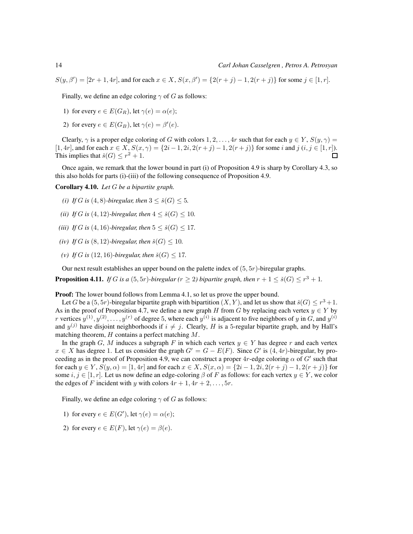$S(y, \beta') = [2r + 1, 4r]$ , and for each  $x \in X$ ,  $S(x, \beta') = \{2(r + j) - 1, 2(r + j)\}\$  for some  $j \in [1, r]$ .

Finally, we define an edge coloring  $\gamma$  of G as follows:

- 1) for every  $e \in E(G_R)$ , let  $\gamma(e) = \alpha(e)$ ;
- 2) for every  $e \in E(G_B)$ , let  $\gamma(e) = \beta'(e)$ .

Clearly,  $\gamma$  is a proper edge coloring of G with colors 1, 2, . . . , 4r such that for each  $y \in Y$ ,  $S(y, \gamma)$  =  $[1, 4r]$ , and for each  $x \in X$ ,  $S(x, \gamma) = \{2i - 1, 2i, 2(r + j) - 1, 2(r + j)\}\$  for some i and  $j$   $(i, j \in [1, r])$ . This implies that  $\check{s}(G) \leq r^2 + 1$ .

Once again, we remark that the lower bound in part (i) of Proposition 4.9 is sharp by Corollary 4.3, so this also holds for parts (i)-(iii) of the following consequence of Proposition 4.9.

Corollary 4.10. *Let* G *be a bipartite graph.*

- *(i) If G is* (4, 8)*-biregular, then*  $3 \leq \check{s}(G) \leq 5$ *.*
- *(ii)* If G is  $(4, 12)$ *-biregular, then*  $4 \leq \check{s}(G) \leq 10$ *.*
- *(iii)* If G is (4, 16)-biregular, then  $5 \leq \check{s}(G) \leq 17$ .
- *(iv)* If G is  $(8, 12)$ *-biregular, then*  $\check{s}(G) \leq 10$ *.*
- *(v) If G is* (12, 16)*-biregular, then*  $\check{s}(G) \leq 17$ *.*

Our next result establishes an upper bound on the palette index of  $(5, 5r)$ -biregular graphs.

**Proposition 4.11.** *If* G *is a* (5, 5*r*)-biregular ( $r \ge 2$ ) bipartite graph, then  $r + 1 \le \check{s}(G) \le r^3 + 1$ .

**Proof:** The lower bound follows from Lemma 4.1, so let us prove the upper bound.

Let G be a  $(5, 5r)$ -biregular bipartite graph with bipartition  $(X, Y)$ , and let us show that  $\check{s}(G) \leq r^3 + 1$ . As in the proof of Proposition 4.7, we define a new graph H from G by replacing each vertex  $y \in Y$  by r vertices  $y^{(1)}, y^{(2)}, \ldots, y^{(r)}$  of degree 5, where each  $y^{(i)}$  is adjacent to five neighbors of y in G, and  $y^{(i)}$ and  $y^{(j)}$  have disjoint neighborhoods if  $i \neq j$ . Clearly, H is a 5-regular bipartite graph, and by Hall's matching theorem,  $H$  contains a perfect matching  $M$ .

In the graph G, M induces a subgraph F in which each vertex  $y \in Y$  has degree r and each vertex  $x \in X$  has degree 1. Let us consider the graph  $G' = G - E(F)$ . Since G' is  $(4, 4r)$ -biregular, by proceeding as in the proof of Proposition 4.9, we can construct a proper  $4r$ -edge coloring  $\alpha$  of  $G'$  such that for each  $y \in Y$ ,  $S(y, \alpha) = [1, 4r]$  and for each  $x \in X$ ,  $S(x, \alpha) = \{2i - 1, 2i, 2(r + j) - 1, 2(r + j)\}$  for some  $i, j \in [1, r]$ . Let us now define an edge-coloring  $\beta$  of F as follows: for each vertex  $y \in Y$ , we color the edges of F incident with y with colors  $4r + 1$ ,  $4r + 2$ , ...,  $5r$ .

Finally, we define an edge coloring  $\gamma$  of G as follows:

- 1) for every  $e \in E(G')$ , let  $\gamma(e) = \alpha(e)$ ;
- 2) for every  $e \in E(F)$ , let  $\gamma(e) = \beta(e)$ .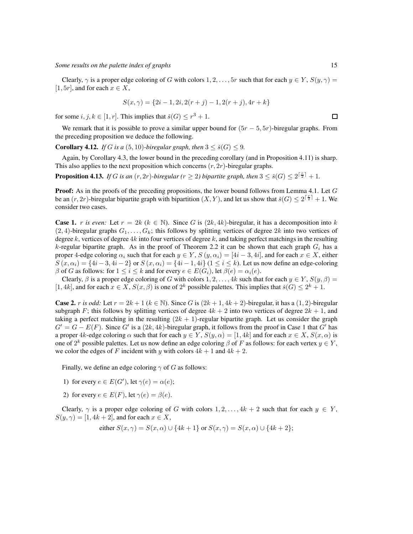Clearly,  $\gamma$  is a proper edge coloring of G with colors 1, 2, . . . , 5r such that for each  $y \in Y$ ,  $S(y, \gamma)$  = [1, 5*r*], and for each  $x \in X$ ,

$$
S(x, \gamma) = \{2i - 1, 2i, 2(r + j) - 1, 2(r + j), 4r + k\}
$$

for some  $i, j, k \in [1, r]$ . This implies that  $\check{s}(G) \leq r^3 + 1$ .

We remark that it is possible to prove a similar upper bound for  $(5r - 5, 5r)$ -biregular graphs. From the preceding proposition we deduce the following.

**Corollary 4.12.** *If* G *is a* (5, 10)*-biregular graph, then*  $3 \leq \check{s}(G) \leq 9$ *.* 

Again, by Corollary 4.3, the lower bound in the preceding corollary (and in Proposition 4.11) is sharp. This also applies to the next proposition which concerns  $(r, 2r)$ -biregular graphs.

**Proposition 4.13.** If G is an  $(r, 2r)$ -biregular  $(r \geq 2)$  bipartite graph, then  $3 \leq \check{s}(G) \leq 2^{\lceil \frac{r}{2} \rceil} + 1$ .

**Proof:** As in the proofs of the preceding propositions, the lower bound follows from Lemma 4.1. Let  $G$ be an  $(r, 2r)$ -biregular bipartite graph with bipartition  $(X, Y)$ , and let us show that  $\check{s}(G) \leq 2^{\lceil \frac{r}{2} \rceil} + 1$ . We consider two cases.

**Case 1.** r is even: Let  $r = 2k$  ( $k \in \mathbb{N}$ ). Since G is  $(2k, 4k)$ -biregular, it has a decomposition into k  $(2, 4)$ -biregular graphs  $G_1, \ldots, G_k$ ; this follows by splitting vertices of degree 2k into two vertices of degree  $k$ , vertices of degree  $4k$  into four vertices of degree  $k$ , and taking perfect matchings in the resulting k-regular bipartite graph. As in the proof of Theorem 2.2 it can be shown that each graph  $G_i$  has a proper 4-edge coloring  $\alpha_i$  such that for each  $y \in Y$ ,  $S(y, \alpha_i) = [4i - 3, 4i]$ , and for each  $x \in X$ , either  $S(x, \alpha_i) = \{4i-3, 4i-2\}$  or  $S(x, \alpha_i) = \{4i-1, 4i\}$   $(1 \le i \le k)$ . Let us now define an edge-coloring  $\beta$  of G as follows: for  $1 \leq i \leq k$  and for every  $e \in E(G_i)$ , let  $\beta(e) = \alpha_i(e)$ .

Clearly,  $\beta$  is a proper edge coloring of G with colors 1, 2, ..., 4k such that for each  $y \in Y$ ,  $S(y, \beta) =$ [1, 4k], and for each  $x \in X$ ,  $S(x, \beta)$  is one of  $2^k$  possible palettes. This implies that  $\check{s}(G) \leq 2^k + 1$ .

**Case 2.** r is odd: Let  $r = 2k + 1$  ( $k \in \mathbb{N}$ ). Since G is  $(2k + 1, 4k + 2)$ -biregular, it has a  $(1, 2)$ -biregular subgraph F; this follows by splitting vertices of degree  $4k + 2$  into two vertices of degree  $2k + 1$ , and taking a perfect matching in the resulting  $(2k + 1)$ -regular bipartite graph. Let us consider the graph  $G' = G - E(F)$ . Since G' is a  $(2k, 4k)$ -biregular graph, it follows from the proof in Case 1 that G' has a proper 4k-edge coloring  $\alpha$  such that for each  $y \in Y$ ,  $S(y, \alpha) = [1, 4k]$  and for each  $x \in X$ ,  $S(x, \alpha)$  is one of  $2^k$  possible palettes. Let us now define an edge coloring  $\beta$  of F as follows: for each vertex  $y \in Y$ , we color the edges of F incident with y with colors  $4k + 1$  and  $4k + 2$ .

Finally, we define an edge coloring  $\gamma$  of G as follows:

- 1) for every  $e \in E(G')$ , let  $\gamma(e) = \alpha(e)$ ;
- 2) for every  $e \in E(F)$ , let  $\gamma(e) = \beta(e)$ .

Clearly,  $\gamma$  is a proper edge coloring of G with colors 1, 2, ...,  $4k + 2$  such that for each  $y \in Y$ .  $S(y, \gamma) = [1, 4k + 2]$ , and for each  $x \in X$ ,

either 
$$
S(x, \gamma) = S(x, \alpha) \cup \{4k + 1\}
$$
 or  $S(x, \gamma) = S(x, \alpha) \cup \{4k + 2\}$ ;

 $\Gamma$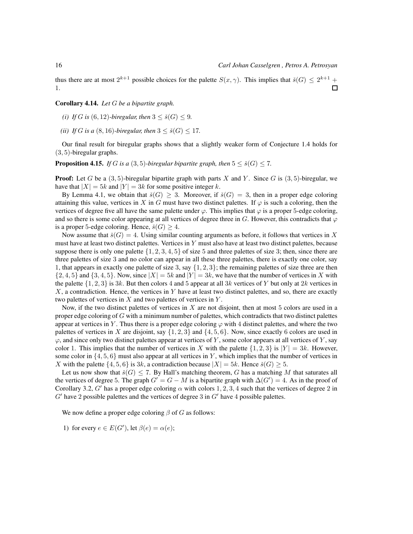thus there are at most  $2^{k+1}$  possible choices for the palette  $S(x, \gamma)$ . This implies that  $\check{s}(G) \leq 2^{k+1}$  + 1.  $\Box$ 

Corollary 4.14. *Let* G *be a bipartite graph.*

- *(i)* If G is (6, 12)-biregular, then  $3 \leq \check{s}(G) \leq 9$ .
- *(ii) If G is a* (8, 16)*-biregular, then*  $3 \leq \check{s}(G) \leq 17$ *.*

Our final result for biregular graphs shows that a slightly weaker form of Conjecture 1.4 holds for (3, 5)-biregular graphs.

**Proposition 4.15.** *If* G *is a* (3, 5)*-biregular bipartite graph, then*  $5 \leq \check{s}(G) \leq 7$ *.* 

**Proof:** Let G be a  $(3, 5)$ -biregular bipartite graph with parts X and Y. Since G is  $(3, 5)$ -biregular, we have that  $|X| = 5k$  and  $|Y| = 3k$  for some positive integer k.

By Lemma 4.1, we obtain that  $\check{s}(G) \geq 3$ . Moreover, if  $\check{s}(G) = 3$ , then in a proper edge coloring attaining this value, vertices in X in G must have two distinct palettes. If  $\varphi$  is such a coloring, then the vertices of degree five all have the same palette under  $\varphi$ . This implies that  $\varphi$  is a proper 5-edge coloring, and so there is some color appearing at all vertices of degree three in G. However, this contradicts that  $\varphi$ is a proper 5-edge coloring. Hence,  $\check{s}(G) > 4$ .

Now assume that  $\check{s}(G) = 4$ . Using similar counting arguments as before, it follows that vertices in X must have at least two distinct palettes. Vertices in Y must also have at least two distinct palettes, because suppose there is only one palette  $\{1, 2, 3, 4, 5\}$  of size 5 and three palettes of size 3; then, since there are three palettes of size 3 and no color can appear in all these three palettes, there is exactly one color, say 1, that appears in exactly one palette of size 3, say  $\{1, 2, 3\}$ ; the remaining palettes of size three are then  $\{2, 4, 5\}$  and  $\{3, 4, 5\}$ . Now, since  $|X| = 5k$  and  $|Y| = 3k$ , we have that the number of vertices in X with the palette  $\{1, 2, 3\}$  is 3k. But then colors 4 and 5 appear at all 3k vertices of Y but only at 2k vertices in  $X$ , a contradiction. Hence, the vertices in Y have at least two distinct palettes, and so, there are exactly two palettes of vertices in  $X$  and two palettes of vertices in  $Y$ .

Now, if the two distinct palettes of vertices in  $X$  are not disjoint, then at most 5 colors are used in a proper edge coloring of G with a minimum number of palettes, which contradicts that two distinct palettes appear at vertices in Y. Thus there is a proper edge coloring  $\varphi$  with 4 distinct palettes, and where the two palettes of vertices in X are disjoint, say  $\{1, 2, 3\}$  and  $\{4, 5, 6\}$ . Now, since exactly 6 colors are used in  $\varphi$ , and since only two distinct palettes appear at vertices of Y, some color appears at all vertices of Y, say color 1. This implies that the number of vertices in X with the palette  $\{1, 2, 3\}$  is  $|Y| = 3k$ . However, some color in  $\{4, 5, 6\}$  must also appear at all vertices in Y, which implies that the number of vertices in X with the palette  $\{4, 5, 6\}$  is 3k, a contradiction because  $|X| = 5k$ . Hence  $\check{s}(G) \geq 5$ .

Let us now show that  $\check{s}(G) \leq 7$ . By Hall's matching theorem, G has a matching M that saturates all the vertices of degree 5. The graph  $G' = G - M$  is a bipartite graph with  $\Delta(G') = 4$ . As in the proof of Corollary 3.2, G' has a proper edge coloring  $\alpha$  with colors 1, 2, 3, 4 such that the vertices of degree 2 in  $G'$  have 2 possible palettes and the vertices of degree 3 in  $G'$  have 4 possible palettes.

We now define a proper edge coloring  $\beta$  of G as follows:

1) for every  $e \in E(G')$ , let  $\beta(e) = \alpha(e)$ ;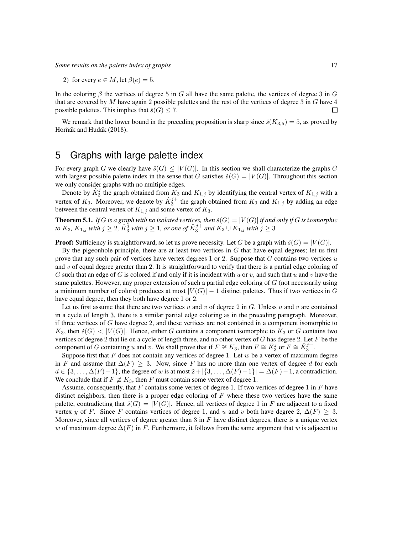2) for every  $e \in M$ , let  $\beta(e) = 5$ .

In the coloring  $\beta$  the vertices of degree 5 in G all have the same palette, the vertices of degree 3 in G that are covered by  $M$  have again 2 possible palettes and the rest of the vertices of degree 3 in  $G$  have  $4$ possible palettes. This implies that  $\check{s}(G) \leq 7$ .

We remark that the lower bound in the preceding proposition is sharp since  $\check{s}(K_{3,5}) = 5$ , as proved by Horňák and Hudák (2018).

## 5 Graphs with large palette index

For every graph G we clearly have  $\check{s}(G) \leq |V(G)|$ . In this section we shall characterize the graphs G with largest possible palette index in the sense that G satisfies  $\check{s}(G) = |V(G)|$ . Throughout this section we only consider graphs with no multiple edges.

Denote by  $\hat{K}_3^j$  the graph obtained from  $\hat{K}_3$  and  $K_{1,j}$  by identifying the central vertex of  $K_{1,j}$  with a vertex of  $K_3$ . Moreover, we denote by  $\hat{K}_3^{j+}$  the graph obtained from  $K_3$  and  $K_{1,j}$  by adding an edge between the central vertex of  $K_{1,j}$  and some vertex of  $K_3$ .

**Theorem 5.1.** If G is a graph with no isolated vertices, then  $\breve{s}(G) = |V(G)|$  if and only if G is isomorphic *to*  $K_3$ *,*  $K_{1,j}$  *with*  $j \geq 2$ *,*  $\hat{K}_3^{\overline{j}}$  *with*  $j \geq 1$ *, or one of*  $\hat{K}_3^{j+}$  *and*  $K_3 \cup K_{1,j}$  *with*  $j \geq 3$ *.* 

**Proof:** Sufficiency is straightforward, so let us prove necessity. Let G be a graph with  $\check{s}(G) = |V(G)|$ .

By the pigeonhole principle, there are at least two vertices in  $G$  that have equal degrees; let us first prove that any such pair of vertices have vertex degrees 1 or 2. Suppose that  $G$  contains two vertices  $u$ and  $v$  of equal degree greater than 2. It is straightforward to verify that there is a partial edge coloring of G such that an edge of G is colored if and only if it is incident with u or v, and such that u and v have the same palettes. However, any proper extension of such a partial edge coloring of  $G$  (not necessarily using a minimum number of colors) produces at most  $|V(G)| - 1$  distinct palettes. Thus if two vertices in G have equal degree, then they both have degree 1 or 2.

Let us first assume that there are two vertices u and v of degree 2 in  $G$ . Unless u and v are contained in a cycle of length 3, there is a similar partial edge coloring as in the preceding paragraph. Moreover, if three vertices of G have degree 2, and these vertices are not contained in a component isomorphic to  $K_3$ , then  $\check{s}(G) < |V(G)|$ . Hence, either G contains a component isomorphic to  $K_3$  or G contains two vertices of degree 2 that lie on a cycle of length three, and no other vertex of  $G$  has degree 2. Let  $F$  be the component of G containing u and v. We shall prove that if  $F \not\cong K_3$ , then  $F \cong \hat{K}_3^j$  or  $F \cong \hat{K}_3^{j+1}$ .

Suppose first that  $F$  does not contain any vertices of degree 1. Let  $w$  be a vertex of maximum degree in F and assume that  $\Delta(F) \geq 3$ . Now, since F has no more than one vertex of degree d for each  $d \in \{3, \ldots, \Delta(F)-1\}$ , the degree of w is at most  $2 + |\{3, \ldots, \Delta(F)-1\}| = \Delta(F) - 1$ , a contradiction. We conclude that if  $F \not\cong K_3$ , then F must contain some vertex of degree 1.

Assume, consequently, that  $F$  contains some vertex of degree 1. If two vertices of degree 1 in  $F$  have distinct neighbors, then there is a proper edge coloring of  $F$  where these two vertices have the same palette, contradicting that  $\check{s}(G) = |V(G)|$ . Hence, all vertices of degree 1 in F are adjacent to a fixed vertex y of F. Since F contains vertices of degree 1, and u and v both have degree 2,  $\Delta(F) \geq 3$ . Moreover, since all vertices of degree greater than 3 in  $F$  have distinct degrees, there is a unique vertex w of maximum degree  $\Delta(F)$  in F. Furthermore, it follows from the same argument that w is adjacent to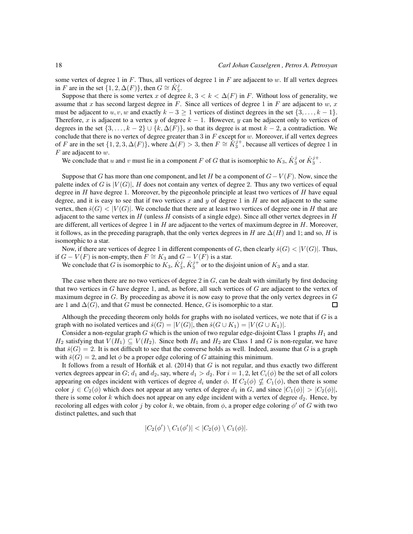some vertex of degree 1 in  $F$ . Thus, all vertices of degree 1 in  $F$  are adjacent to  $w$ . If all vertex degrees in F are in the set  $\{1, 2, \Delta(F)\}\$ , then  $G \cong \hat{K}_3^j$ .

Suppose that there is some vertex x of degree k,  $3 < k < \Delta(F)$  in F. Without loss of generality, we assume that x has second largest degree in F. Since all vertices of degree 1 in F are adjacent to  $w, x$ must be adjacent to u, v, w and exactly  $k - 3 \ge 1$  vertices of distinct degrees in the set  $\{3, \ldots, k - 1\}$ . Therefore, x is adjacent to a vertex y of degree  $k - 1$ . However, y can be adjacent only to vertices of degrees in the set  $\{3, \ldots, k-2\} \cup \{k, \Delta(F)\}\)$ , so that its degree is at most  $k-2$ , a contradiction. We conclude that there is no vertex of degree greater than  $3$  in  $F$  except for  $w$ . Moreover, if all vertex degrees of F are in the set  $\{1, 2, 3, \Delta(F)\}\$ , where  $\Delta(F) > 3$ , then  $F \cong \hat{K}_3^{j+}$ , because all vertices of degree 1 in  $F$  are adjacent to  $w$ .

We conclude that u and v must lie in a component F of G that is isomorphic to  $K_3$ ,  $\hat{K}_3^j$  or  $\hat{K}_3^{j+}$ .

Suppose that G has more than one component, and let H be a component of  $G-V(F)$ . Now, since the palette index of G is  $|V(G)|$ , H does not contain any vertex of degree 2. Thus any two vertices of equal degree in  $H$  have degree 1. Moreover, by the pigeonhole principle at least two vertices of  $H$  have equal degree, and it is easy to see that if two vertices x and y of degree 1 in  $H$  are not adjacent to the same vertex, then  $\check{s}(G) < |V(G)|$ . We conclude that there are at least two vertices of degree one in H that are adjacent to the same vertex in H (unless H consists of a single edge). Since all other vertex degrees in H are different, all vertices of degree 1 in  $H$  are adjacent to the vertex of maximum degree in  $H$ . Moreover, it follows, as in the preceding paragraph, that the only vertex degrees in H are  $\Delta(H)$  and 1; and so, H is isomorphic to a star.

Now, if there are vertices of degree 1 in different components of G, then clearly  $\check{s}(G) < |V(G)|$ . Thus, if  $G - V(F)$  is non-empty, then  $F \cong K_3$  and  $G - V(F)$  is a star.

We conclude that G is isomorphic to  $K_3$ ,  $\hat{K}_3^j$ ,  $\hat{K}_3^{j+}$  or to the disjoint union of  $K_3$  and a star.

The case when there are no two vertices of degree 2 in  $G$ , can be dealt with similarly by first deducing that two vertices in  $G$  have degree 1, and, as before, all such vertices of  $G$  are adjacent to the vertex of maximum degree in  $G$ . By proceeding as above it is now easy to prove that the only vertex degrees in  $G$ are 1 and  $\Delta(G)$ , and that G must be connected. Hence, G is isomorphic to a star. 口

Although the preceding theorem only holds for graphs with no isolated vertices, we note that if  $G$  is a graph with no isolated vertices and  $\check{s}(G) = |V(G)|$ , then  $\check{s}(G \cup K_1) = |V(G \cup K_1)|$ .

Consider a non-regular graph G which is the union of two regular edge-disjoint Class 1 graphs  $H_1$  and  $H_2$  satisfying that  $V(H_1) \subseteq V(H_2)$ . Since both  $H_1$  and  $H_2$  are Class 1 and G is non-regular, we have that  $\check{s}(G) = 2$ . It is not difficult to see that the converse holds as well. Indeed, assume that G is a graph with  $\check{s}(G) = 2$ , and let  $\phi$  be a proper edge coloring of G attaining this minimum.

It follows from a result of Horňák et al. (2014) that  $G$  is not regular, and thus exactly two different vertex degrees appear in G;  $d_1$  and  $d_2$ , say, where  $d_1 > d_2$ . For  $i = 1, 2$ , let  $C_i(\phi)$  be the set of all colors appearing on edges incident with vertices of degree  $d_i$  under  $\phi$ . If  $C_2(\phi) \nsubseteq C_1(\phi)$ , then there is some color  $j \in C_2(\phi)$  which does not appear at any vertex of degree  $d_1$  in G, and since  $|C_1(\phi)| > |C_2(\phi)|$ , there is some color  $k$  which does not appear on any edge incident with a vertex of degree  $d_2$ . Hence, by recoloring all edges with color j by color k, we obtain, from  $\phi$ , a proper edge coloring  $\phi'$  of G with two distinct palettes, and such that

$$
|C_2(\phi') \setminus C_1(\phi')| < |C_2(\phi) \setminus C_1(\phi)|.
$$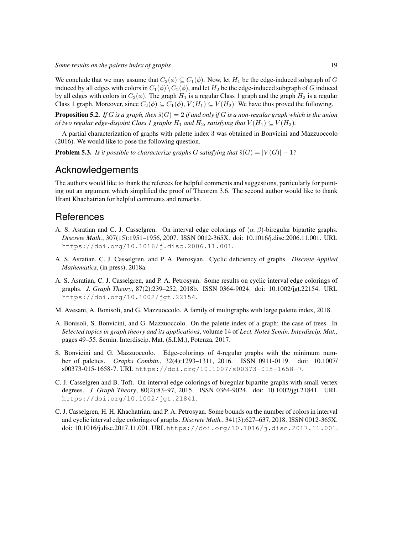We conclude that we may assume that  $C_2(\phi) \subseteq C_1(\phi)$ . Now, let  $H_1$  be the edge-induced subgraph of G induced by all edges with colors in  $C_1(\phi) \setminus C_2(\phi)$ , and let  $H_2$  be the edge-induced subgraph of G induced by all edges with colors in  $C_2(\phi)$ . The graph  $H_1$  is a regular Class 1 graph and the graph  $H_2$  is a regular Class 1 graph. Moreover, since  $C_2(\phi) \subseteq C_1(\phi)$ ,  $V(H_1) \subseteq V(H_2)$ . We have thus proved the following.

**Proposition 5.2.** *If* G is a graph, then  $\breve{s}(G) = 2$  *if and only if* G *is a non-regular graph which is the union of two regular edge-disjoint Class 1 graphs*  $H_1$  *and*  $H_2$ *, satisfying that*  $V(H_1) \subseteq V(H_2)$ *.* 

A partial characterization of graphs with palette index 3 was obtained in Bonvicini and Mazzuoccolo (2016). We would like to pose the following question.

**Problem 5.3.** *Is it possible to characterize graphs G satisfying that*  $\check{s}(G) = |V(G)| - 1$ ?

#### Acknowledgements

The authors would like to thank the referees for helpful comments and suggestions, particularly for pointing out an argument which simplified the proof of Theorem 3.6. The second author would like to thank Hrant Khachatrian for helpful comments and remarks.

### References

- A. S. Asratian and C. J. Casselgren. On interval edge colorings of  $(\alpha, \beta)$ -biregular bipartite graphs. *Discrete Math.*, 307(15):1951–1956, 2007. ISSN 0012-365X. doi: 10.1016/j.disc.2006.11.001. URL https://doi.org/10.1016/j.disc.2006.11.001.
- A. S. Asratian, C. J. Casselgren, and P. A. Petrosyan. Cyclic deficiency of graphs. *Discrete Applied Mathematics*, (in press), 2018a.
- A. S. Asratian, C. J. Casselgren, and P. A. Petrosyan. Some results on cyclic interval edge colorings of graphs. *J. Graph Theory*, 87(2):239–252, 2018b. ISSN 0364-9024. doi: 10.1002/jgt.22154. URL https://doi.org/10.1002/jgt.22154.
- M. Avesani, A. Bonisoli, and G. Mazzuoccolo. A family of multigraphs with large palette index, 2018.
- A. Bonisoli, S. Bonvicini, and G. Mazzuoccolo. On the palette index of a graph: the case of trees. In *Selected topics in graph theory and its applications*, volume 14 of *Lect. Notes Semin. Interdiscip. Mat.*, pages 49–55. Semin. Interdiscip. Mat. (S.I.M.), Potenza, 2017.
- S. Bonvicini and G. Mazzuoccolo. Edge-colorings of 4-regular graphs with the minimum number of palettes. *Graphs Combin.*, 32(4):1293–1311, 2016. ISSN 0911-0119. doi: 10.1007/ s00373-015-1658-7. URL https://doi.org/10.1007/s00373-015-1658-7.
- C. J. Casselgren and B. Toft. On interval edge colorings of biregular bipartite graphs with small vertex degrees. *J. Graph Theory*, 80(2):83–97, 2015. ISSN 0364-9024. doi: 10.1002/jgt.21841. URL https://doi.org/10.1002/jgt.21841.
- C. J. Casselgren, H. H. Khachatrian, and P. A. Petrosyan. Some bounds on the number of colors in interval and cyclic interval edge colorings of graphs. *Discrete Math.*, 341(3):627–637, 2018. ISSN 0012-365X. doi: 10.1016/j.disc.2017.11.001. URL https://doi.org/10.1016/j.disc.2017.11.001.